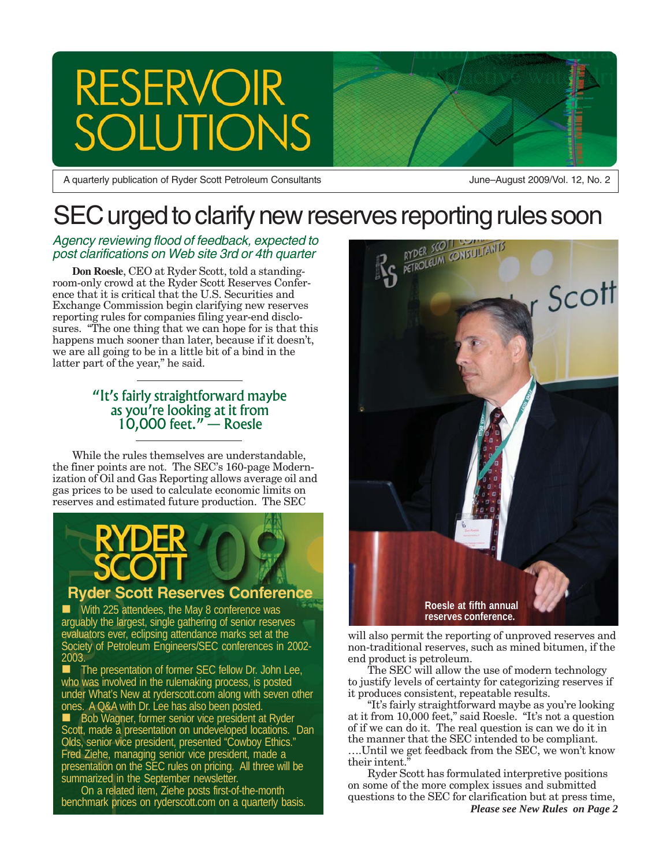## **RESERVOIR** TONS

A quarterly publication of Ryder Scott Petroleum Consultants **June–August 2009/Vol. 12, No. 2** 

# SEC urged to clarify new reserves reporting rules soon<br>Agency reviewing flood of feedback, expected to<br>post clarifications on Web site 3rd or 4th quarter<br>Don Roesle, CEO at Ryder Scott, told a standing

#### Agency reviewing flood of feedback, expected to post clarifications on Web site 3rd or 4th quarter

**Don Roesle**, CEO at Ryder Scott, told a standingroom-only crowd at the Ryder Scott Reserves Conference that it is critical that the U.S. Securities and Exchange Commission begin clarifying new reserves reporting rules for companies filing year-end disclosures. "The one thing that we can hope for is that this happens much sooner than later, because if it doesn't, we are all going to be in a little bit of a bind in the latter part of the year," he said.

#### "It's fairly straightforward maybe as you're looking at it from 10,000 feet." — Roesle

While the rules themselves are understandable, the finer points are not. The SEC's 160-page Modernization of Oil and Gas Reporting allows average oil and gas prices to be used to calculate economic limits on reserves and estimated future production. The SEC

#### **Ryder Scott Reserves Conference**

 With 225 attendees, the May 8 conference was arguably the largest, single gathering of senior reserves evaluators ever, eclipsing attendance marks set at the Society of Petroleum Engineers/SEC conferences in 2002- 2003.

 The presentation of former SEC fellow Dr. John Lee, who was involved in the rulemaking process, is posted under What's New at ryderscott.com along with seven other ones. A Q&A with Dr. Lee has also been posted.

Bob Wagner, former senior vice president at Ryder Scott, made a presentation on undeveloped locations. Dan Olds, senior vice president, presented "Cowboy Ethics." Fred Ziehe, managing senior vice president, made a presentation on the SEC rules on pricing. All three will be summarized in the September newsletter.

On a related item, Ziehe posts first-of-the-month benchmark prices on ryderscott.com on a quarterly basis.



will also permit the reporting of unproved reserves and non-traditional reserves, such as mined bitumen, if the end product is petroleum.

The SEC will allow the use of modern technology to justify levels of certainty for categorizing reserves if it produces consistent, repeatable results.

"It's fairly straightforward maybe as you're looking at it from 10,000 feet," said Roesle. "It's not a question of if we can do it. The real question is can we do it in the manner that the SEC intended to be compliant. ….Until we get feedback from the SEC, we won't know their intent."

Ryder Scott has formulated interpretive positions on some of the more complex issues and submitted questions to the SEC for clarification but at press time, *Please see New Rules on Page 2*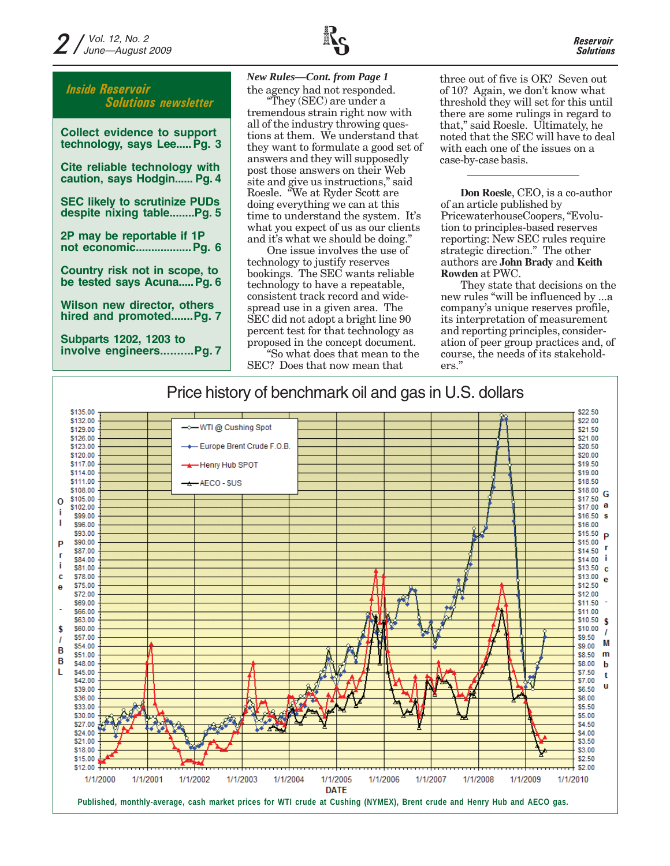

| <b>Collect evidence to support</b><br>technology, says Lee Pg. 3  |
|-------------------------------------------------------------------|
| Cite reliable technology with<br>caution, says Hodgin Pg. 4       |
| <b>SEC likely to scrutinize PUDs</b><br>despite nixing tablePg. 5 |
| 2P may be reportable if 1P<br>not economic Pg. 6                  |
| Country risk not in scope, to<br>be tested says Acuna Pg. 6       |
| Wilson new director, others<br>hired and promotedPg. 7            |
| <b>Subparts 1202, 1203 to</b><br>involve engineersPg. 7           |

the agency had not responded. *New Rules—Cont. from Page 1*

"They (SEC) are under a tremendous strain right now with all of the industry throwing questions at them. We understand that they want to formulate a good set of answers and they will supposedly post those answers on their Web site and give us instructions," said Roesle. "We at Ryder Scott are doing everything we can at this time to understand the system. It's what you expect of us as our clients and it's what we should be doing."

One issue involves the use of technology to justify reserves bookings. The SEC wants reliable technology to have a repeatable, consistent track record and widespread use in a given area. The SEC did not adopt a bright line 90 percent test for that technology as proposed in the concept document.

"So what does that mean to the SEC? Does that now mean that

three out of five is OK? Seven out of 10? Again, we don't know what threshold they will set for this until there are some rulings in regard to that," said Roesle. Ultimately, he noted that the SEC will have to deal with each one of the issues on a case-by-case basis.

**Don Roesle**, CEO, is a co-author of an article published by PricewaterhouseCoopers, "Evolution to principles-based reserves reporting: New SEC rules require strategic direction." The other authors are **John Brady** and **Keith Rowden** at PWC.

They state that decisions on the new rules "will be influenced by ...a company's unique reserves profile, its interpretation of measurement and reporting principles, consideration of peer group practices and, of course, the needs of its stakeholders."

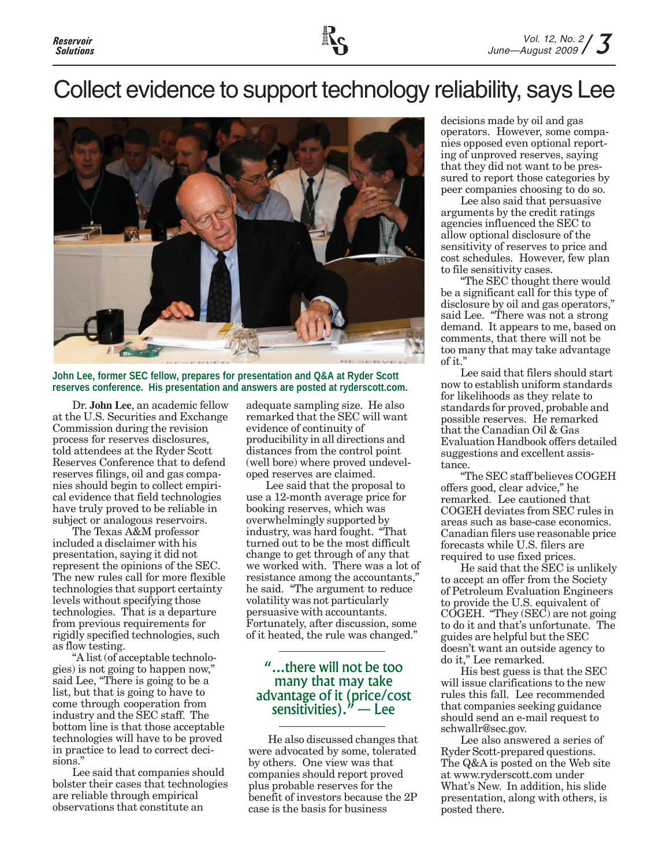## Collect evidence to support technology reliability, says Lee



**John Lee, former SEC fellow, prepares for presentation and Q&A at Ryder Scott reserves conference. His presentation and answers are posted at ryderscott.com.**

Dr. **John Lee**, an academic fellow at the U.S. Securities and Exchange Commission during the revision process for reserves disclosures, told attendees at the Ryder Scott Reserves Conference that to defend reserves filings, oil and gas companies should begin to collect empirical evidence that field technologies have truly proved to be reliable in subject or analogous reservoirs.

The Texas A&M professor included a disclaimer with his presentation, saying it did not represent the opinions of the SEC. The new rules call for more flexible technologies that support certainty levels without specifying those technologies. That is a departure from previous requirements for rigidly specified technologies, such as flow testing.

"A list (of acceptable technologies) is not going to happen now," said Lee, "There is going to be a list, but that is going to have to come through cooperation from industry and the SEC staff. The bottom line is that those acceptable technologies will have to be proved in practice to lead to correct decisions."

Lee said that companies should bolster their cases that technologies are reliable through empirical observations that constitute an

adequate sampling size. He also remarked that the SEC will want evidence of continuity of producibility in all directions and distances from the control point (well bore) where proved undeveloped reserves are claimed.

Lee said that the proposal to use a 12-month average price for booking reserves, which was overwhelmingly supported by industry, was hard fought. "That turned out to be the most difficult change to get through of any that we worked with. There was a lot of resistance among the accountants," he said. "The argument to reduce volatility was not particularly persuasive with accountants. Fortunately, after discussion, some of it heated, the rule was changed."

#### "...there will not be too many that may take advantage of it (price/cost sensitivities)." — Lee

He also discussed changes that were advocated by some, tolerated by others. One view was that companies should report proved plus probable reserves for the benefit of investors because the 2P case is the basis for business

decisions made by oil and gas operators. However, some companies opposed even optional reporting of unproved reserves, saying that they did not want to be pressured to report those categories by peer companies choosing to do so.

Lee also said that persuasive arguments by the credit ratings agencies influenced the SEC to allow optional disclosure of the sensitivity of reserves to price and cost schedules. However, few plan to file sensitivity cases.

"The SEC thought there would be a significant call for this type of disclosure by oil and gas operators," said Lee. "There was not a strong demand. It appears to me, based on comments, that there will not be too many that may take advantage of it."

Lee said that filers should start now to establish uniform standards for likelihoods as they relate to standards for proved, probable and possible reserves. He remarked that the Canadian Oil & Gas Evaluation Handbook offers detailed suggestions and excellent assistance.

"The SEC staff believes COGEH offers good, clear advice," he remarked. Lee cautioned that COGEH deviates from SEC rules in areas such as base-case economics. Canadian filers use reasonable price forecasts while U.S. filers are required to use fixed prices.

He said that the SEC is unlikely to accept an offer from the Society of Petroleum Evaluation Engineers to provide the U.S. equivalent of COGEH. "They (SEC) are not going to do it and that's unfortunate. The guides are helpful but the SEC doesn't want an outside agency to do it," Lee remarked.

His best guess is that the SEC will issue clarifications to the new rules this fall. Lee recommended that companies seeking guidance should send an e-mail request to schwallr@sec.gov.

Lee also answered a series of Ryder Scott-prepared questions. The Q&A is posted on the Web site at www.ryderscott.com under What's New. In addition, his slide presentation, along with others, is posted there.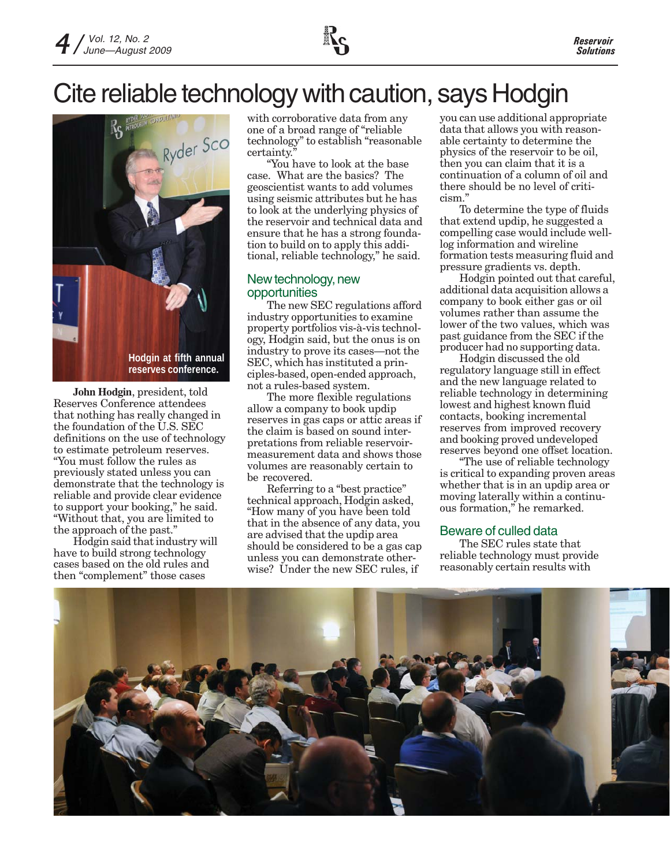

## Cite reliable technology with caution, says Hodgin



**John Hodgin**, president, told Reserves Conference attendees that nothing has really changed in the foundation of the U.S. SEC definitions on the use of technology to estimate petroleum reserves. "You must follow the rules as previously stated unless you can demonstrate that the technology is reliable and provide clear evidence to support your booking," he said. "Without that, you are limited to the approach of the past."

Hodgin said that industry will have to build strong technology cases based on the old rules and then "complement" those cases

with corroborative data from any one of a broad range of "reliable technology" to establish "reasonable certainty.

"You have to look at the base case. What are the basics? The geoscientist wants to add volumes using seismic attributes but he has to look at the underlying physics of the reservoir and technical data and ensure that he has a strong foundation to build on to apply this additional, reliable technology," he said.

#### New technology, new opportunities

The new SEC regulations afford industry opportunities to examine property portfolios vis-à-vis technology, Hodgin said, but the onus is on industry to prove its cases—not the SEC, which has instituted a principles-based, open-ended approach, not a rules-based system.

The more flexible regulations allow a company to book updip reserves in gas caps or attic areas if the claim is based on sound interpretations from reliable reservoirmeasurement data and shows those volumes are reasonably certain to be recovered.

Referring to a "best practice" technical approach, Hodgin asked, "How many of you have been told that in the absence of any data, you are advised that the updip area should be considered to be a gas cap unless you can demonstrate otherwise? Under the new SEC rules, if

you can use additional appropriate data that allows you with reasonable certainty to determine the physics of the reservoir to be oil, then you can claim that it is a continuation of a column of oil and there should be no level of criticism."

To determine the type of fluids that extend updip, he suggested a compelling case would include welllog information and wireline formation tests measuring fluid and pressure gradients vs. depth.

Hodgin pointed out that careful, additional data acquisition allows a company to book either gas or oil volumes rather than assume the lower of the two values, which was past guidance from the SEC if the producer had no supporting data.

Hodgin discussed the old regulatory language still in effect and the new language related to reliable technology in determining lowest and highest known fluid contacts, booking incremental reserves from improved recovery and booking proved undeveloped reserves beyond one offset location.

"The use of reliable technology is critical to expanding proven areas whether that is in an updip area or moving laterally within a continuous formation," he remarked.

#### Beware of culled data

The SEC rules state that reliable technology must provide reasonably certain results with

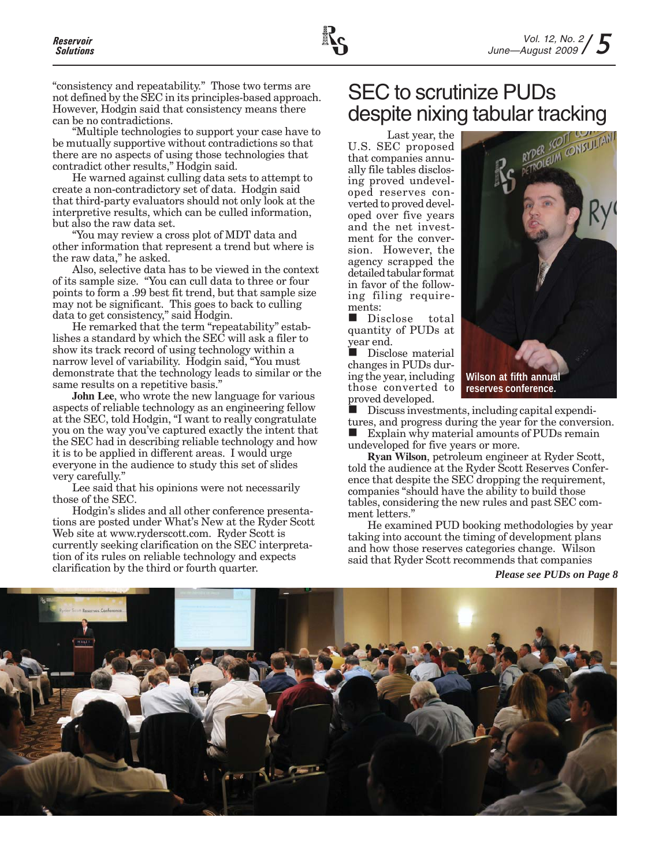"consistency and repeatability." Those two terms are not defined by the SEC in its principles-based approach. However, Hodgin said that consistency means there can be no contradictions.

"Multiple technologies to support your case have to be mutually supportive without contradictions so that there are no aspects of using those technologies that contradict other results," Hodgin said.

He warned against culling data sets to attempt to create a non-contradictory set of data. Hodgin said that third-party evaluators should not only look at the interpretive results, which can be culled information, but also the raw data set.

"You may review a cross plot of MDT data and other information that represent a trend but where is the raw data," he asked.

Also, selective data has to be viewed in the context of its sample size. "You can cull data to three or four points to form a .99 best fit trend, but that sample size may not be significant. This goes to back to culling data to get consistency," said Hodgin.

He remarked that the term "repeatability" establishes a standard by which the SEC will ask a filer to show its track record of using technology within a narrow level of variability. Hodgin said, "You must demonstrate that the technology leads to similar or the same results on a repetitive basis."

**John Lee**, who wrote the new language for various aspects of reliable technology as an engineering fellow at the SEC, told Hodgin, "I want to really congratulate you on the way you've captured exactly the intent that the SEC had in describing reliable technology and how it is to be applied in different areas. I would urge everyone in the audience to study this set of slides very carefully."

Lee said that his opinions were not necessarily those of the SEC.

Hodgin's slides and all other conference presentations are posted under What's New at the Ryder Scott Web site at www.ryderscott.com. Ryder Scott is currently seeking clarification on the SEC interpretation of its rules on reliable technology and expects clarification by the third or fourth quarter.

## SEC to scrutinize PUDs despite nixing tabular tracking

Last year, the U.S. SEC proposed that companies annually file tables disclosing proved undeveloped reserves converted to proved developed over five years and the net investment for the conversion. However, the agency scrapped the detailed tabular format in favor of the following filing requirements:

Disclose total quantity of PUDs at year end.

Disclose material changes in PUDs during the year, including those converted to proved developed.

 Discuss investments, including capital expenditures, and progress during the year for the conversion. Explain why material amounts of PUDs remain undeveloped for five years or more.

**Ryan Wilson**, petroleum engineer at Ryder Scott, told the audience at the Ryder Scott Reserves Conference that despite the SEC dropping the requirement, companies "should have the ability to build those tables, considering the new rules and past SEC comment letters."

He examined PUD booking methodologies by year taking into account the timing of development plans and how those reserves categories change. Wilson said that Ryder Scott recommends that companies

*Please see PUDs on Page 8*





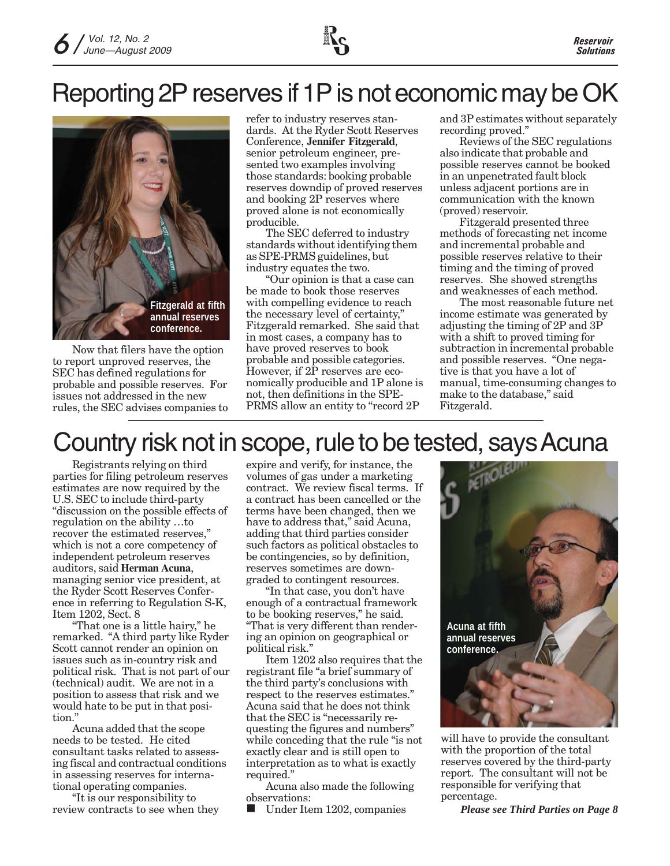## Reporting 2P reserves if 1P is not economic may be OK



Now that filers have the option to report unproved reserves, the SEC has defined regulations for probable and possible reserves. For issues not addressed in the new rules, the SEC advises companies to refer to industry reserves standards. At the Ryder Scott Reserves Conference, **Jennifer Fitzgerald**, senior petroleum engineer, presented two examples involving those standards: booking probable reserves downdip of proved reserves and booking 2P reserves where proved alone is not economically producible.

The SEC deferred to industry standards without identifying them as SPE-PRMS guidelines, but industry equates the two.

"Our opinion is that a case can be made to book those reserves with compelling evidence to reach the necessary level of certainty," Fitzgerald remarked. She said that in most cases, a company has to have proved reserves to book probable and possible categories. However, if 2P reserves are economically producible and 1P alone is not, then definitions in the SPE-PRMS allow an entity to "record 2P

and 3P estimates without separately recording proved."

Reviews of the SEC regulations also indicate that probable and possible reserves cannot be booked in an unpenetrated fault block unless adjacent portions are in communication with the known (proved) reservoir.

Fitzgerald presented three methods of forecasting net income and incremental probable and possible reserves relative to their timing and the timing of proved reserves. She showed strengths and weaknesses of each method.

The most reasonable future net income estimate was generated by adjusting the timing of 2P and 3P with a shift to proved timing for subtraction in incremental probable and possible reserves. "One negative is that you have a lot of manual, time-consuming changes to make to the database," said Fitzgerald.

## Country risk not in scope, rule to be tested, says Acuna

Registrants relying on third parties for filing petroleum reserves estimates are now required by the U.S. SEC to include third-party "discussion on the possible effects of regulation on the ability …to recover the estimated reserves," which is not a core competency of independent petroleum reserves auditors, said **Herman Acuna**, managing senior vice president, at the Ryder Scott Reserves Conference in referring to Regulation S-K, Item 1202, Sect. 8

"That one is a little hairy," he remarked. "A third party like Ryder Scott cannot render an opinion on issues such as in-country risk and political risk. That is not part of our (technical) audit. We are not in a position to assess that risk and we would hate to be put in that position."

Acuna added that the scope needs to be tested. He cited consultant tasks related to assessing fiscal and contractual conditions in assessing reserves for international operating companies.

"It is our responsibility to review contracts to see when they expire and verify, for instance, the volumes of gas under a marketing contract. We review fiscal terms. If a contract has been cancelled or the terms have been changed, then we have to address that," said Acuna, adding that third parties consider such factors as political obstacles to be contingencies, so by definition, reserves sometimes are downgraded to contingent resources.

"In that case, you don't have enough of a contractual framework to be booking reserves," he said. "That is very different than rendering an opinion on geographical or political risk."

Item 1202 also requires that the registrant file "a brief summary of the third party's conclusions with respect to the reserves estimates." Acuna said that he does not think that the SEC is "necessarily requesting the figures and numbers" while conceding that the rule "is not exactly clear and is still open to interpretation as to what is exactly required."

Acuna also made the following observations:

Under Item 1202, companies



will have to provide the consultant with the proportion of the total reserves covered by the third-party report. The consultant will not be responsible for verifying that percentage.

*Please see Third Parties on Page 8*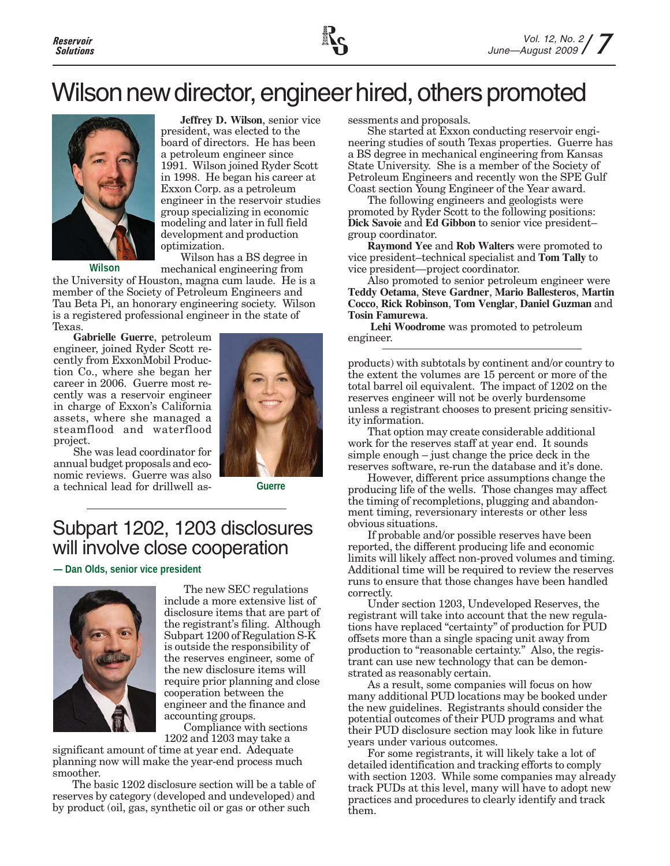

## Wilson new director, engineer hired, others promoted



**Jeffrey D. Wilson**, senior vice president, was elected to the board of directors. He has been a petroleum engineer since 1991. Wilson joined Ryder Scott in 1998. He began his career at Exxon Corp. as a petroleum engineer in the reservoir studies group specializing in economic modeling and later in full field development and production optimization.

**Wilson**

Wilson has a BS degree in mechanical engineering from

the University of Houston, magna cum laude. He is a member of the Society of Petroleum Engineers and Tau Beta Pi, an honorary engineering society. Wilson is a registered professional engineer in the state of Texas.

**Gabrielle Guerre**, petroleum engineer, joined Ryder Scott recently from ExxonMobil Production Co., where she began her career in 2006. Guerre most recently was a reservoir engineer in charge of Exxon's California assets, where she managed a steamflood and waterflood project.

She was lead coordinator for annual budget proposals and economic reviews. Guerre was also a technical lead for drillwell as-



**Guerre**

### Subpart 1202, 1203 disclosures will involve close cooperation

**— Dan Olds, senior vice president**



The new SEC regulations include a more extensive list of disclosure items that are part of the registrant's filing. Although Subpart 1200 of Regulation S-K is outside the responsibility of the reserves engineer, some of the new disclosure items will require prior planning and close cooperation between the engineer and the finance and accounting groups.

Compliance with sections 1202 and 1203 may take a

significant amount of time at year end. Adequate planning now will make the year-end process much smoother.

The basic 1202 disclosure section will be a table of reserves by category (developed and undeveloped) and by product (oil, gas, synthetic oil or gas or other such

sessments and proposals.

She started at Exxon conducting reservoir engineering studies of south Texas properties. Guerre has a BS degree in mechanical engineering from Kansas State University. She is a member of the Society of Petroleum Engineers and recently won the SPE Gulf Coast section Young Engineer of the Year award.

The following engineers and geologists were promoted by Ryder Scott to the following positions: **Dick Savoie** and **Ed Gibbon** to senior vice president– group coordinator.

**Raymond Yee** and **Rob Walters** were promoted to vice president–technical specialist and **Tom Tally** to vice president—project coordinator.

Also promoted to senior petroleum engineer were **Teddy Oetama**, **Steve Gardner**, **Mario Ballesteros**, **Martin Cocco**, **Rick Robinson**, **Tom Venglar**, **Daniel Guzman** and **Tosin Famurewa**.

**Lehi Woodrome** was promoted to petroleum engineer.

products) with subtotals by continent and/or country to the extent the volumes are 15 percent or more of the total barrel oil equivalent. The impact of 1202 on the reserves engineer will not be overly burdensome unless a registrant chooses to present pricing sensitivity information.

That option may create considerable additional work for the reserves staff at year end. It sounds simple enough – just change the price deck in the reserves software, re-run the database and it's done.

However, different price assumptions change the producing life of the wells. Those changes may affect the timing of recompletions, plugging and abandonment timing, reversionary interests or other less obvious situations.

If probable and/or possible reserves have been reported, the different producing life and economic limits will likely affect non-proved volumes and timing. Additional time will be required to review the reserves runs to ensure that those changes have been handled correctly.

Under section 1203, Undeveloped Reserves, the registrant will take into account that the new regulations have replaced "certainty" of production for PUD offsets more than a single spacing unit away from production to "reasonable certainty." Also, the registrant can use new technology that can be demonstrated as reasonably certain.

As a result, some companies will focus on how many additional PUD locations may be booked under the new guidelines. Registrants should consider the potential outcomes of their PUD programs and what their PUD disclosure section may look like in future years under various outcomes.

For some registrants, it will likely take a lot of detailed identification and tracking efforts to comply with section 1203. While some companies may already track PUDs at this level, many will have to adopt new practices and procedures to clearly identify and track them.